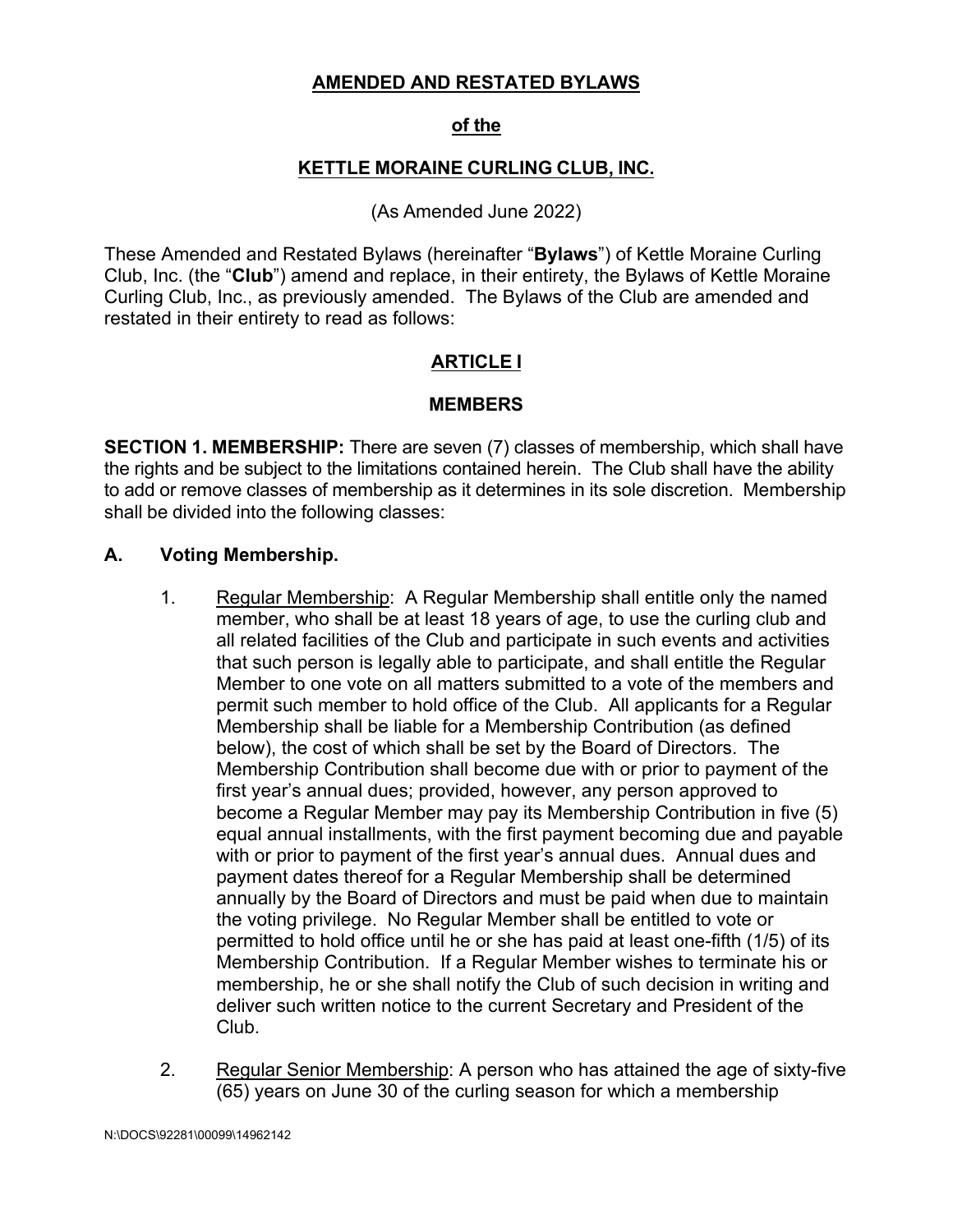#### **AMENDED AND RESTATED BYLAWS**

#### **of the**

#### **KETTLE MORAINE CURLING CLUB, INC.**

#### (As Amended June 2022)

These Amended and Restated Bylaws (hereinafter "**Bylaws**") of Kettle Moraine Curling Club, Inc. (the "**Club**") amend and replace, in their entirety, the Bylaws of Kettle Moraine Curling Club, Inc., as previously amended. The Bylaws of the Club are amended and restated in their entirety to read as follows:

#### **ARTICLE I**

#### **MEMBERS**

**SECTION 1. MEMBERSHIP:** There are seven (7) classes of membership, which shall have the rights and be subject to the limitations contained herein. The Club shall have the ability to add or remove classes of membership as it determines in its sole discretion. Membership shall be divided into the following classes:

#### **A. Voting Membership.**

- 1. Regular Membership: A Regular Membership shall entitle only the named member, who shall be at least 18 years of age, to use the curling club and all related facilities of the Club and participate in such events and activities that such person is legally able to participate, and shall entitle the Regular Member to one vote on all matters submitted to a vote of the members and permit such member to hold office of the Club. All applicants for a Regular Membership shall be liable for a Membership Contribution (as defined below), the cost of which shall be set by the Board of Directors. The Membership Contribution shall become due with or prior to payment of the first year's annual dues; provided, however, any person approved to become a Regular Member may pay its Membership Contribution in five (5) equal annual installments, with the first payment becoming due and payable with or prior to payment of the first year's annual dues. Annual dues and payment dates thereof for a Regular Membership shall be determined annually by the Board of Directors and must be paid when due to maintain the voting privilege. No Regular Member shall be entitled to vote or permitted to hold office until he or she has paid at least one-fifth (1/5) of its Membership Contribution. If a Regular Member wishes to terminate his or membership, he or she shall notify the Club of such decision in writing and deliver such written notice to the current Secretary and President of the Club.
- 2. Regular Senior Membership: A person who has attained the age of sixty-five (65) years on June 30 of the curling season for which a membership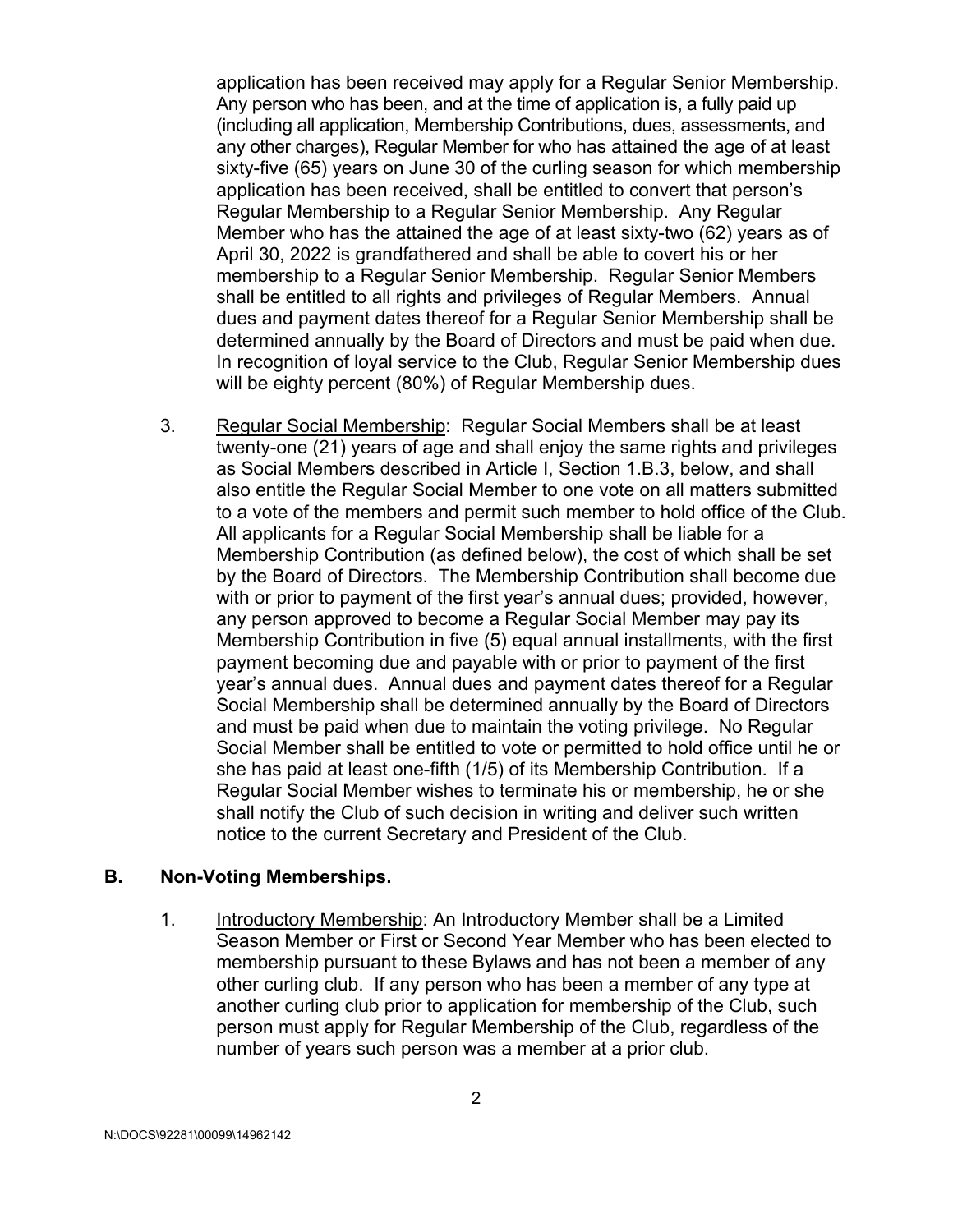application has been received may apply for a Regular Senior Membership. Any person who has been, and at the time of application is, a fully paid up (including all application, Membership Contributions, dues, assessments, and any other charges), Regular Member for who has attained the age of at least sixty-five (65) years on June 30 of the curling season for which membership application has been received, shall be entitled to convert that person's Regular Membership to a Regular Senior Membership. Any Regular Member who has the attained the age of at least sixty-two (62) years as of April 30, 2022 is grandfathered and shall be able to covert his or her membership to a Regular Senior Membership. Regular Senior Members shall be entitled to all rights and privileges of Regular Members. Annual dues and payment dates thereof for a Regular Senior Membership shall be determined annually by the Board of Directors and must be paid when due. In recognition of loyal service to the Club, Regular Senior Membership dues will be eighty percent (80%) of Regular Membership dues.

3. Regular Social Membership: Regular Social Members shall be at least twenty-one (21) years of age and shall enjoy the same rights and privileges as Social Members described in Article I, Section 1.B.3, below, and shall also entitle the Regular Social Member to one vote on all matters submitted to a vote of the members and permit such member to hold office of the Club. All applicants for a Regular Social Membership shall be liable for a Membership Contribution (as defined below), the cost of which shall be set by the Board of Directors. The Membership Contribution shall become due with or prior to payment of the first year's annual dues; provided, however, any person approved to become a Regular Social Member may pay its Membership Contribution in five (5) equal annual installments, with the first payment becoming due and payable with or prior to payment of the first year's annual dues. Annual dues and payment dates thereof for a Regular Social Membership shall be determined annually by the Board of Directors and must be paid when due to maintain the voting privilege. No Regular Social Member shall be entitled to vote or permitted to hold office until he or she has paid at least one-fifth (1/5) of its Membership Contribution. If a Regular Social Member wishes to terminate his or membership, he or she shall notify the Club of such decision in writing and deliver such written notice to the current Secretary and President of the Club.

#### **B. Non-Voting Memberships.**

1. Introductory Membership: An Introductory Member shall be a Limited Season Member or First or Second Year Member who has been elected to membership pursuant to these Bylaws and has not been a member of any other curling club. If any person who has been a member of any type at another curling club prior to application for membership of the Club, such person must apply for Regular Membership of the Club, regardless of the number of years such person was a member at a prior club.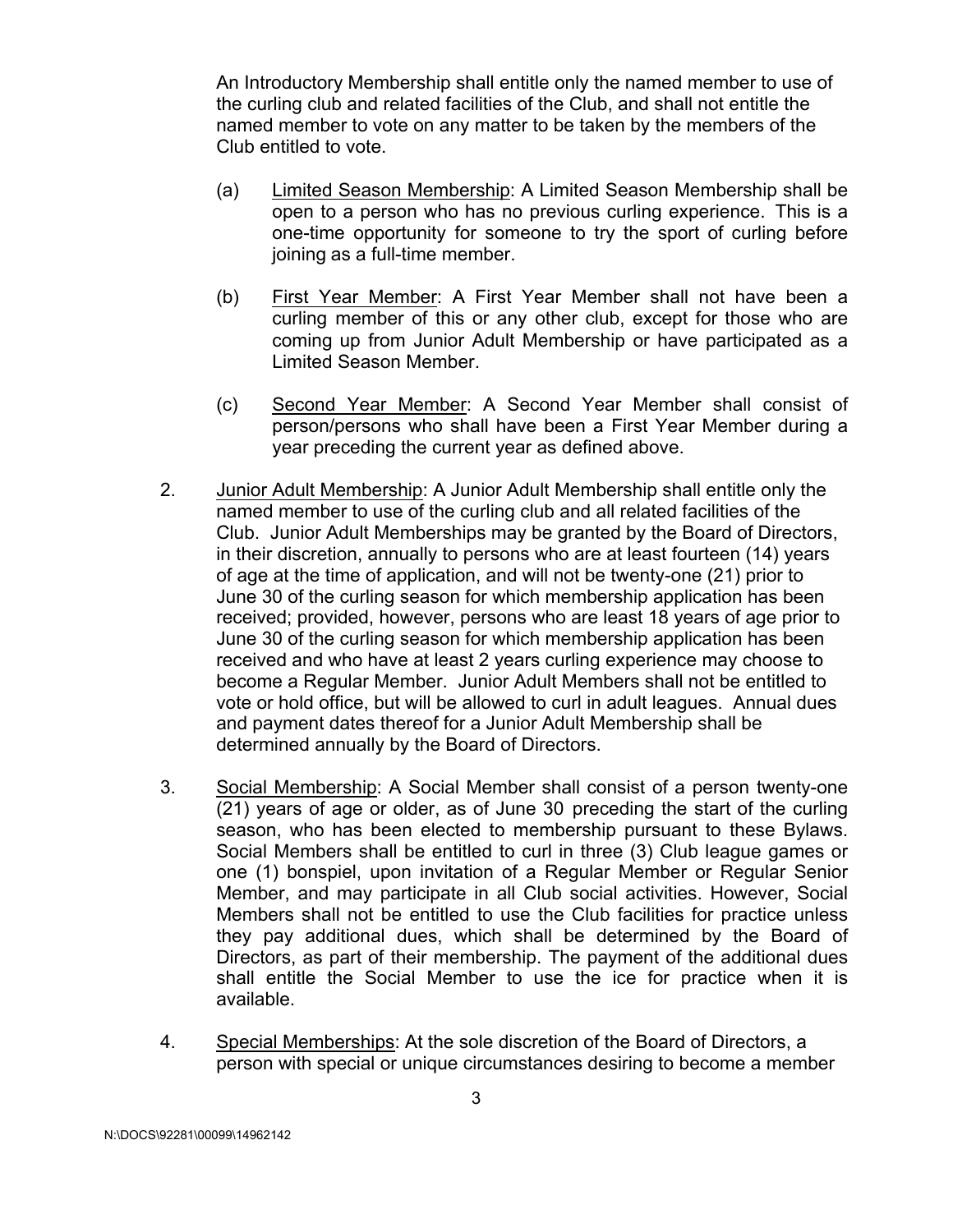An Introductory Membership shall entitle only the named member to use of the curling club and related facilities of the Club, and shall not entitle the named member to vote on any matter to be taken by the members of the Club entitled to vote.

- (a) Limited Season Membership: A Limited Season Membership shall be open to a person who has no previous curling experience. This is a one-time opportunity for someone to try the sport of curling before joining as a full-time member.
- (b) First Year Member: A First Year Member shall not have been a curling member of this or any other club, except for those who are coming up from Junior Adult Membership or have participated as a Limited Season Member.
- (c) Second Year Member: A Second Year Member shall consist of person/persons who shall have been a First Year Member during a year preceding the current year as defined above.
- 2. Junior Adult Membership: A Junior Adult Membership shall entitle only the named member to use of the curling club and all related facilities of the Club. Junior Adult Memberships may be granted by the Board of Directors, in their discretion, annually to persons who are at least fourteen (14) years of age at the time of application, and will not be twenty-one (21) prior to June 30 of the curling season for which membership application has been received; provided, however, persons who are least 18 years of age prior to June 30 of the curling season for which membership application has been received and who have at least 2 years curling experience may choose to become a Regular Member. Junior Adult Members shall not be entitled to vote or hold office, but will be allowed to curl in adult leagues. Annual dues and payment dates thereof for a Junior Adult Membership shall be determined annually by the Board of Directors.
- 3. Social Membership: A Social Member shall consist of a person twenty-one  $(21)$  years of age or older, as of June 30 preceding the start of the curling season, who has been elected to membership pursuant to these Bylaws. Social Members shall be entitled to curl in three (3) Club league games or one (1) bonspiel, upon invitation of a Regular Member or Regular Senior Member, and may participate in all Club social activities. However, Social Members shall not be entitled to use the Club facilities for practice unless they pay additional dues, which shall be determined by the Board of Directors, as part of their membership. The payment of the additional dues shall entitle the Social Member to use the ice for practice when it is available.
- 4. Special Memberships: At the sole discretion of the Board of Directors, a person with special or unique circumstances desiring to become a member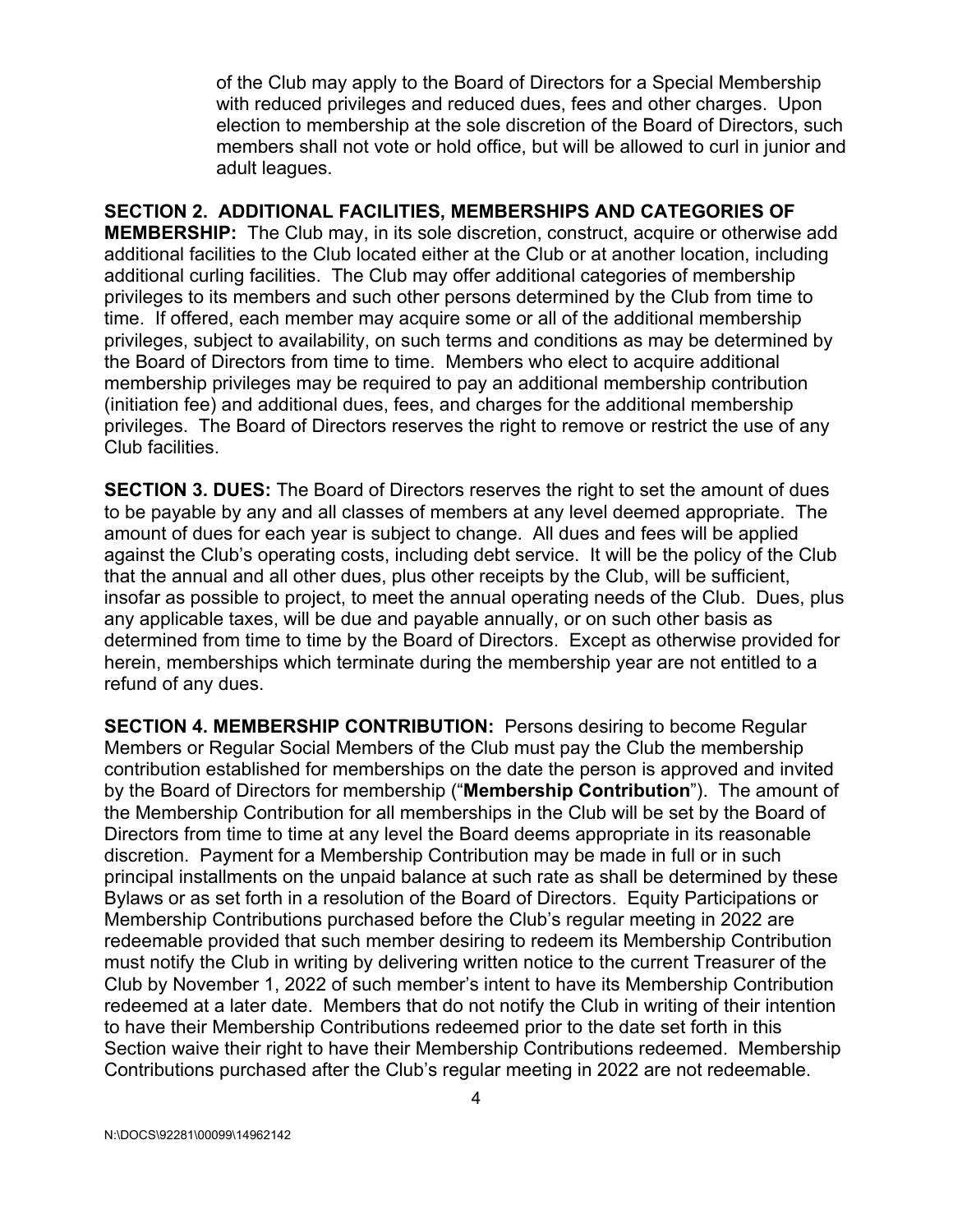of the Club may apply to the Board of Directors for a Special Membership with reduced privileges and reduced dues, fees and other charges. Upon election to membership at the sole discretion of the Board of Directors, such members shall not vote or hold office, but will be allowed to curl in junior and adult leagues.

**SECTION 2. ADDITIONAL FACILITIES, MEMBERSHIPS AND CATEGORIES OF MEMBERSHIP:** The Club may, in its sole discretion, construct, acquire or otherwise add additional facilities to the Club located either at the Club or at another location, including additional curling facilities. The Club may offer additional categories of membership privileges to its members and such other persons determined by the Club from time to time. If offered, each member may acquire some or all of the additional membership privileges, subject to availability, on such terms and conditions as may be determined by the Board of Directors from time to time. Members who elect to acquire additional membership privileges may be required to pay an additional membership contribution (initiation fee) and additional dues, fees, and charges for the additional membership privileges. The Board of Directors reserves the right to remove or restrict the use of any Club facilities.

**SECTION 3. DUES:** The Board of Directors reserves the right to set the amount of dues to be payable by any and all classes of members at any level deemed appropriate. The amount of dues for each year is subject to change. All dues and fees will be applied against the Club's operating costs, including debt service. It will be the policy of the Club that the annual and all other dues, plus other receipts by the Club, will be sufficient, insofar as possible to project, to meet the annual operating needs of the Club. Dues, plus any applicable taxes, will be due and payable annually, or on such other basis as determined from time to time by the Board of Directors. Except as otherwise provided for herein, memberships which terminate during the membership year are not entitled to a refund of any dues.

**SECTION 4. MEMBERSHIP CONTRIBUTION:** Persons desiring to become Regular Members or Regular Social Members of the Club must pay the Club the membership contribution established for memberships on the date the person is approved and invited by the Board of Directors for membership ("**Membership Contribution**"). The amount of the Membership Contribution for all memberships in the Club will be set by the Board of Directors from time to time at any level the Board deems appropriate in its reasonable discretion. Payment for a Membership Contribution may be made in full or in such principal installments on the unpaid balance at such rate as shall be determined by these Bylaws or as set forth in a resolution of the Board of Directors. Equity Participations or Membership Contributions purchased before the Club's regular meeting in 2022 are redeemable provided that such member desiring to redeem its Membership Contribution must notify the Club in writing by delivering written notice to the current Treasurer of the Club by November 1, 2022 of such member's intent to have its Membership Contribution redeemed at a later date. Members that do not notify the Club in writing of their intention to have their Membership Contributions redeemed prior to the date set forth in this Section waive their right to have their Membership Contributions redeemed. Membership Contributions purchased after the Club's regular meeting in 2022 are not redeemable.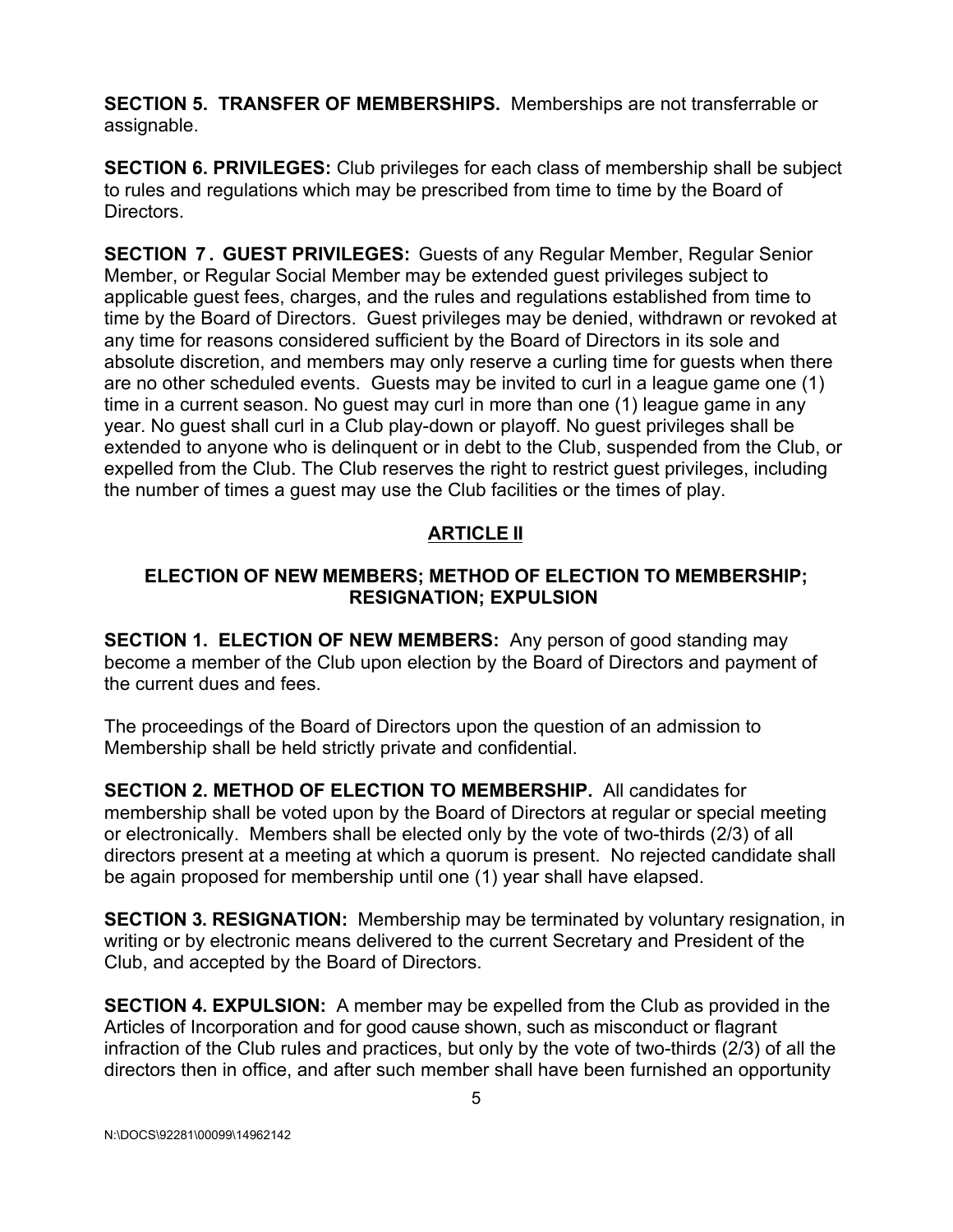**SECTION 5. TRANSFER OF MEMBERSHIPS.** Memberships are not transferrable or assignable.

**SECTION 6. PRIVILEGES:** Club privileges for each class of membership shall be subject to rules and regulations which may be prescribed from time to time by the Board of Directors.

**SECTION 7 . GUEST PRIVILEGES:** Guests of any Regular Member, Regular Senior Member, or Regular Social Member may be extended guest privileges subject to applicable guest fees, charges, and the rules and regulations established from time to time by the Board of Directors. Guest privileges may be denied, withdrawn or revoked at any time for reasons considered sufficient by the Board of Directors in its sole and absolute discretion, and members may only reserve a curling time for guests when there are no other scheduled events. Guests may be invited to curl in a league game one (1) time in a current season. No guest may curl in more than one (1) league game in any year. No guest shall curl in a Club play-down or playoff. No guest privileges shall be extended to anyone who is delinquent or in debt to the Club, suspended from the Club, or expelled from the Club. The Club reserves the right to restrict guest privileges, including the number of times a guest may use the Club facilities or the times of play.

#### **ARTICLE II**

#### **ELECTION OF NEW MEMBERS; METHOD OF ELECTION TO MEMBERSHIP; RESIGNATION; EXPULSION**

**SECTION 1. ELECTION OF NEW MEMBERS:** Any person of good standing may become a member of the Club upon election by the Board of Directors and payment of the current dues and fees.

The proceedings of the Board of Directors upon the question of an admission to Membership shall be held strictly private and confidential.

**SECTION 2. METHOD OF ELECTION TO MEMBERSHIP.** All candidates for membership shall be voted upon by the Board of Directors at regular or special meeting or electronically. Members shall be elected only by the vote of two-thirds (2/3) of all directors present at a meeting at which a quorum is present. No rejected candidate shall be again proposed for membership until one (1) year shall have elapsed.

**SECTION 3. RESIGNATION:** Membership may be terminated by voluntary resignation, in writing or by electronic means delivered to the current Secretary and President of the Club, and accepted by the Board of Directors.

**SECTION 4. EXPULSION:** A member may be expelled from the Club as provided in the Articles of Incorporation and for good cause shown, such as misconduct or flagrant infraction of the Club rules and practices, but only by the vote of two-thirds (2/3) of all the directors then in office, and after such member shall have been furnished an opportunity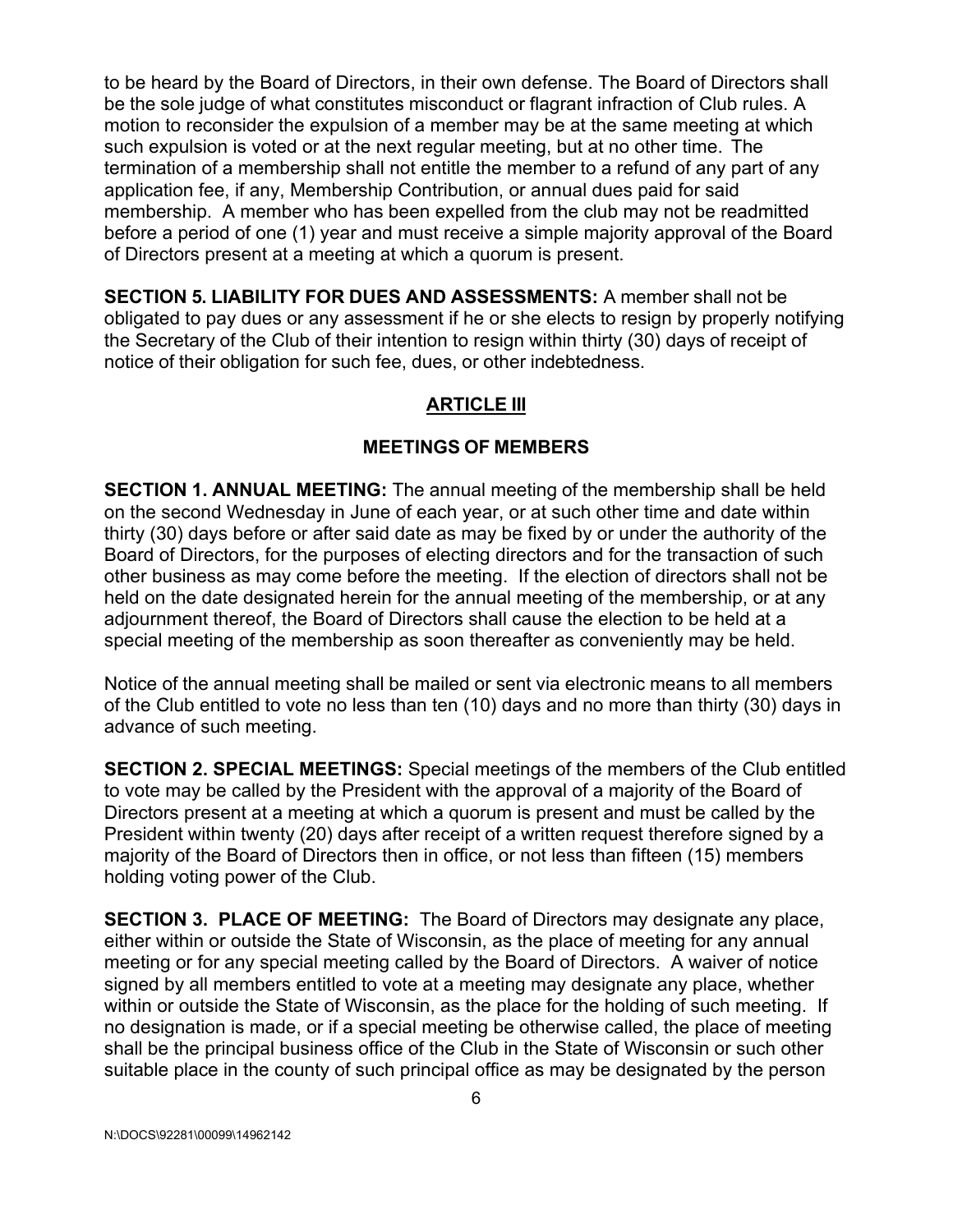to be heard by the Board of Directors, in their own defense. The Board of Directors shall be the sole judge of what constitutes misconduct or flagrant infraction of Club rules. A motion to reconsider the expulsion of a member may be at the same meeting at which such expulsion is voted or at the next regular meeting, but at no other time. The termination of a membership shall not entitle the member to a refund of any part of any application fee, if any, Membership Contribution, or annual dues paid for said membership. A member who has been expelled from the club may not be readmitted before a period of one (1) year and must receive a simple majority approval of the Board of Directors present at a meeting at which a quorum is present.

**SECTION 5. LIABILITY FOR DUES AND ASSESSMENTS:** A member shall not be obligated to pay dues or any assessment if he or she elects to resign by properly notifying the Secretary of the Club of their intention to resign within thirty (30) days of receipt of notice of their obligation for such fee, dues, or other indebtedness.

# **ARTICLE III**

### **MEETINGS OF MEMBERS**

**SECTION 1. ANNUAL MEETING:** The annual meeting of the membership shall be held on the second Wednesday in June of each year, or at such other time and date within thirty (30) days before or after said date as may be fixed by or under the authority of the Board of Directors, for the purposes of electing directors and for the transaction of such other business as may come before the meeting. If the election of directors shall not be held on the date designated herein for the annual meeting of the membership, or at any adjournment thereof, the Board of Directors shall cause the election to be held at a special meeting of the membership as soon thereafter as conveniently may be held.

Notice of the annual meeting shall be mailed or sent via electronic means to all members of the Club entitled to vote no less than ten (10) days and no more than thirty (30) days in advance of such meeting.

**SECTION 2. SPECIAL MEETINGS:** Special meetings of the members of the Club entitled to vote may be called by the President with the approval of a majority of the Board of Directors present at a meeting at which a quorum is present and must be called by the President within twenty (20) days after receipt of a written request therefore signed by a majority of the Board of Directors then in office, or not less than fifteen (15) members holding voting power of the Club.

**SECTION 3. PLACE OF MEETING:** The Board of Directors may designate any place, either within or outside the State of Wisconsin, as the place of meeting for any annual meeting or for any special meeting called by the Board of Directors. A waiver of notice signed by all members entitled to vote at a meeting may designate any place, whether within or outside the State of Wisconsin, as the place for the holding of such meeting. If no designation is made, or if a special meeting be otherwise called, the place of meeting shall be the principal business office of the Club in the State of Wisconsin or such other suitable place in the county of such principal office as may be designated by the person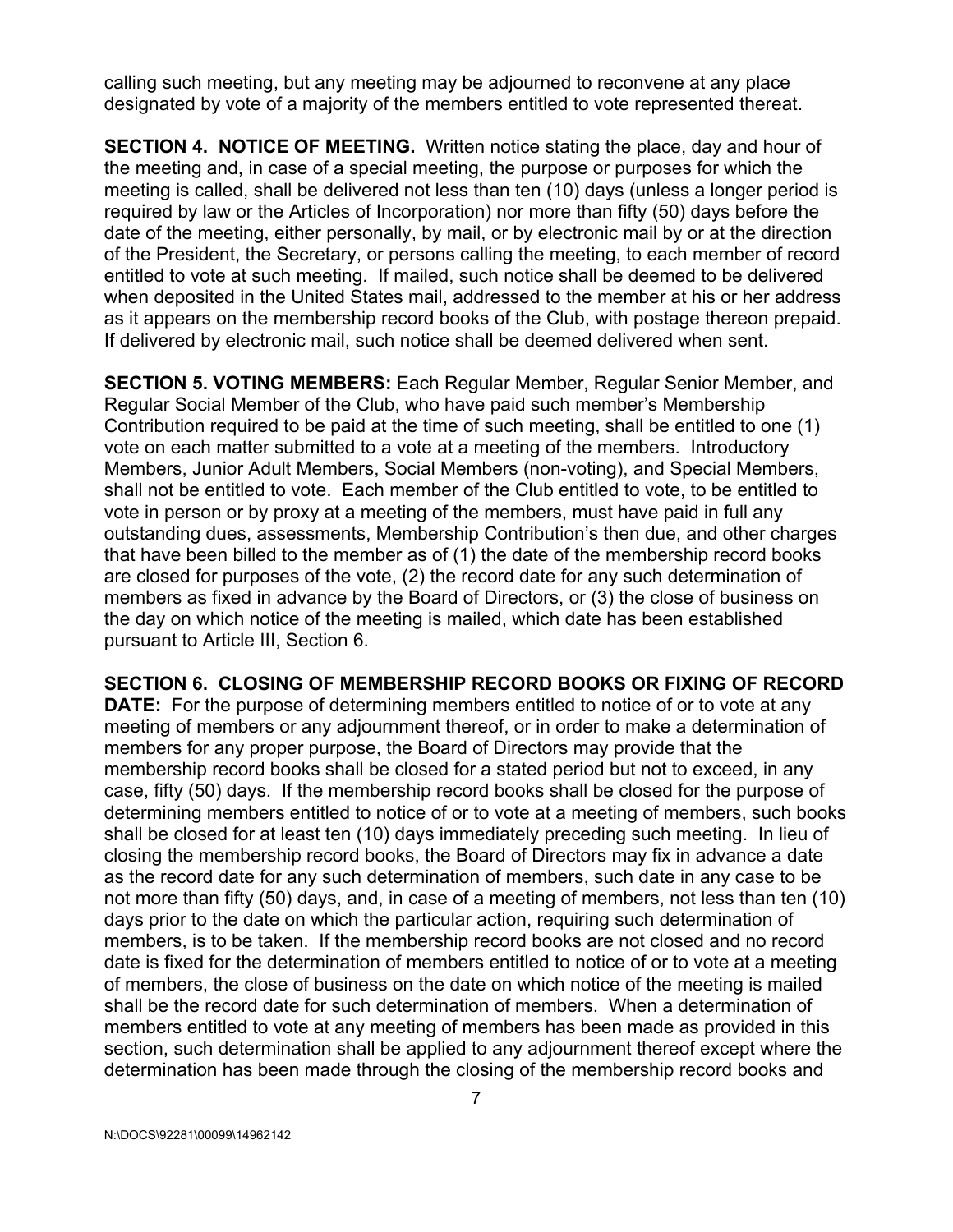calling such meeting, but any meeting may be adjourned to reconvene at any place designated by vote of a majority of the members entitled to vote represented thereat.

**SECTION 4. NOTICE OF MEETING.** Written notice stating the place, day and hour of the meeting and, in case of a special meeting, the purpose or purposes for which the meeting is called, shall be delivered not less than ten (10) days (unless a longer period is required by law or the Articles of Incorporation) nor more than fifty (50) days before the date of the meeting, either personally, by mail, or by electronic mail by or at the direction of the President, the Secretary, or persons calling the meeting, to each member of record entitled to vote at such meeting. If mailed, such notice shall be deemed to be delivered when deposited in the United States mail, addressed to the member at his or her address as it appears on the membership record books of the Club, with postage thereon prepaid. If delivered by electronic mail, such notice shall be deemed delivered when sent.

**SECTION 5. VOTING MEMBERS:** Each Regular Member, Regular Senior Member, and Regular Social Member of the Club, who have paid such member's Membership Contribution required to be paid at the time of such meeting, shall be entitled to one (1) vote on each matter submitted to a vote at a meeting of the members. Introductory Members, Junior Adult Members, Social Members (non-voting), and Special Members, shall not be entitled to vote. Each member of the Club entitled to vote, to be entitled to vote in person or by proxy at a meeting of the members, must have paid in full any outstanding dues, assessments, Membership Contribution's then due, and other charges that have been billed to the member as of (1) the date of the membership record books are closed for purposes of the vote, (2) the record date for any such determination of members as fixed in advance by the Board of Directors, or (3) the close of business on the day on which notice of the meeting is mailed, which date has been established pursuant to Article III, Section 6.

**SECTION 6. CLOSING OF MEMBERSHIP RECORD BOOKS OR FIXING OF RECORD DATE:** For the purpose of determining members entitled to notice of or to vote at any meeting of members or any adjournment thereof, or in order to make a determination of members for any proper purpose, the Board of Directors may provide that the membership record books shall be closed for a stated period but not to exceed, in any case, fifty (50) days. If the membership record books shall be closed for the purpose of determining members entitled to notice of or to vote at a meeting of members, such books shall be closed for at least ten (10) days immediately preceding such meeting. In lieu of closing the membership record books, the Board of Directors may fix in advance a date as the record date for any such determination of members, such date in any case to be not more than fifty (50) days, and, in case of a meeting of members, not less than ten (10) days prior to the date on which the particular action, requiring such determination of members, is to be taken. If the membership record books are not closed and no record date is fixed for the determination of members entitled to notice of or to vote at a meeting of members, the close of business on the date on which notice of the meeting is mailed shall be the record date for such determination of members. When a determination of members entitled to vote at any meeting of members has been made as provided in this section, such determination shall be applied to any adjournment thereof except where the determination has been made through the closing of the membership record books and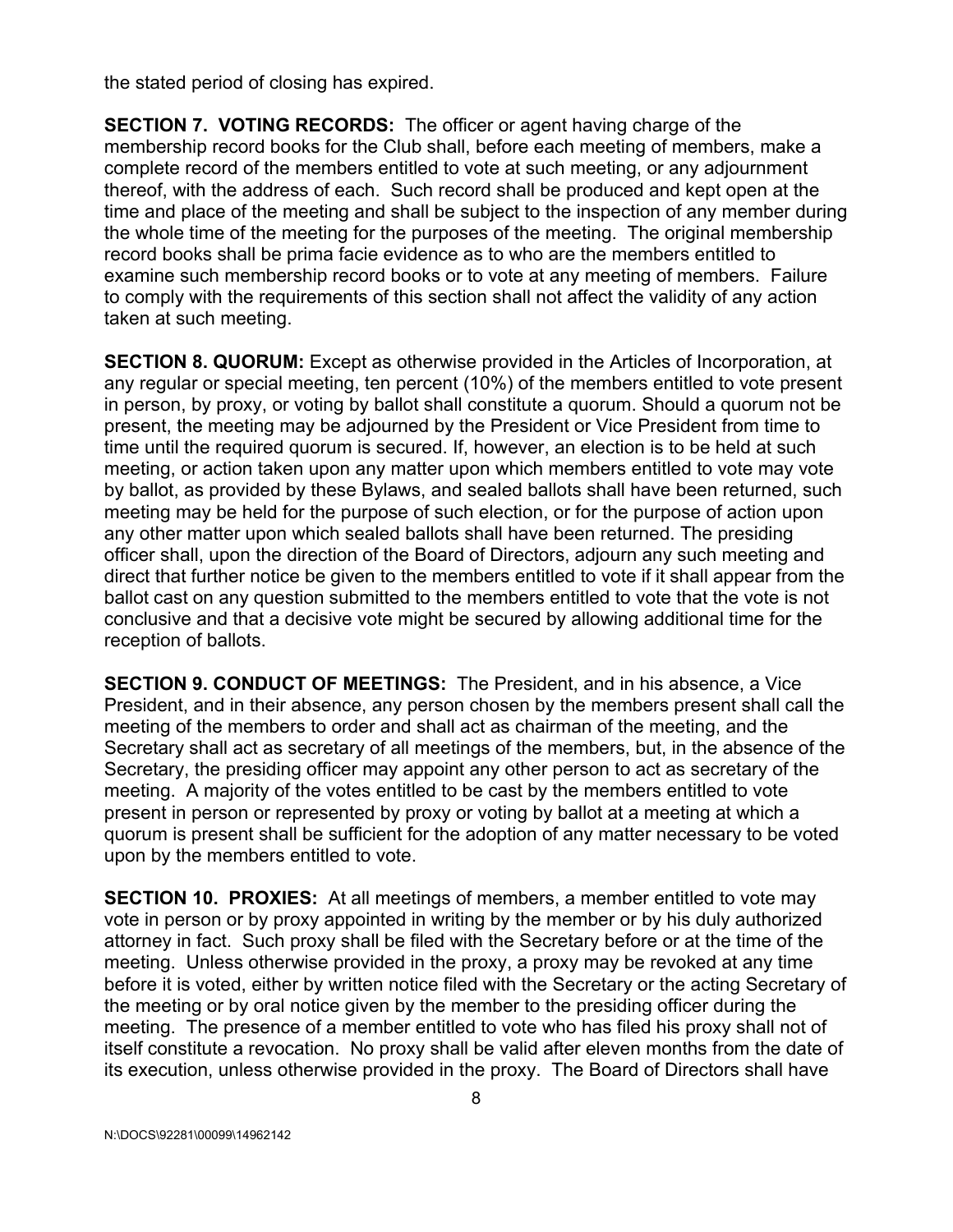the stated period of closing has expired.

**SECTION 7. VOTING RECORDS:** The officer or agent having charge of the membership record books for the Club shall, before each meeting of members, make a complete record of the members entitled to vote at such meeting, or any adjournment thereof, with the address of each. Such record shall be produced and kept open at the time and place of the meeting and shall be subject to the inspection of any member during the whole time of the meeting for the purposes of the meeting. The original membership record books shall be prima facie evidence as to who are the members entitled to examine such membership record books or to vote at any meeting of members. Failure to comply with the requirements of this section shall not affect the validity of any action taken at such meeting.

**SECTION 8. QUORUM:** Except as otherwise provided in the Articles of Incorporation, at any regular or special meeting, ten percent (10%) of the members entitled to vote present in person, by proxy, or voting by ballot shall constitute a quorum. Should a quorum not be present, the meeting may be adjourned by the President or Vice President from time to time until the required quorum is secured. If, however, an election is to be held at such meeting, or action taken upon any matter upon which members entitled to vote may vote by ballot, as provided by these Bylaws, and sealed ballots shall have been returned, such meeting may be held for the purpose of such election, or for the purpose of action upon any other matter upon which sealed ballots shall have been returned. The presiding officer shall, upon the direction of the Board of Directors, adjourn any such meeting and direct that further notice be given to the members entitled to vote if it shall appear from the ballot cast on any question submitted to the members entitled to vote that the vote is not conclusive and that a decisive vote might be secured by allowing additional time for the reception of ballots.

**SECTION 9. CONDUCT OF MEETINGS:** The President, and in his absence, a Vice President, and in their absence, any person chosen by the members present shall call the meeting of the members to order and shall act as chairman of the meeting, and the Secretary shall act as secretary of all meetings of the members, but, in the absence of the Secretary, the presiding officer may appoint any other person to act as secretary of the meeting. A majority of the votes entitled to be cast by the members entitled to vote present in person or represented by proxy or voting by ballot at a meeting at which a quorum is present shall be sufficient for the adoption of any matter necessary to be voted upon by the members entitled to vote.

**SECTION 10. PROXIES:** At all meetings of members, a member entitled to vote may vote in person or by proxy appointed in writing by the member or by his duly authorized attorney in fact. Such proxy shall be filed with the Secretary before or at the time of the meeting. Unless otherwise provided in the proxy, a proxy may be revoked at any time before it is voted, either by written notice filed with the Secretary or the acting Secretary of the meeting or by oral notice given by the member to the presiding officer during the meeting. The presence of a member entitled to vote who has filed his proxy shall not of itself constitute a revocation. No proxy shall be valid after eleven months from the date of its execution, unless otherwise provided in the proxy. The Board of Directors shall have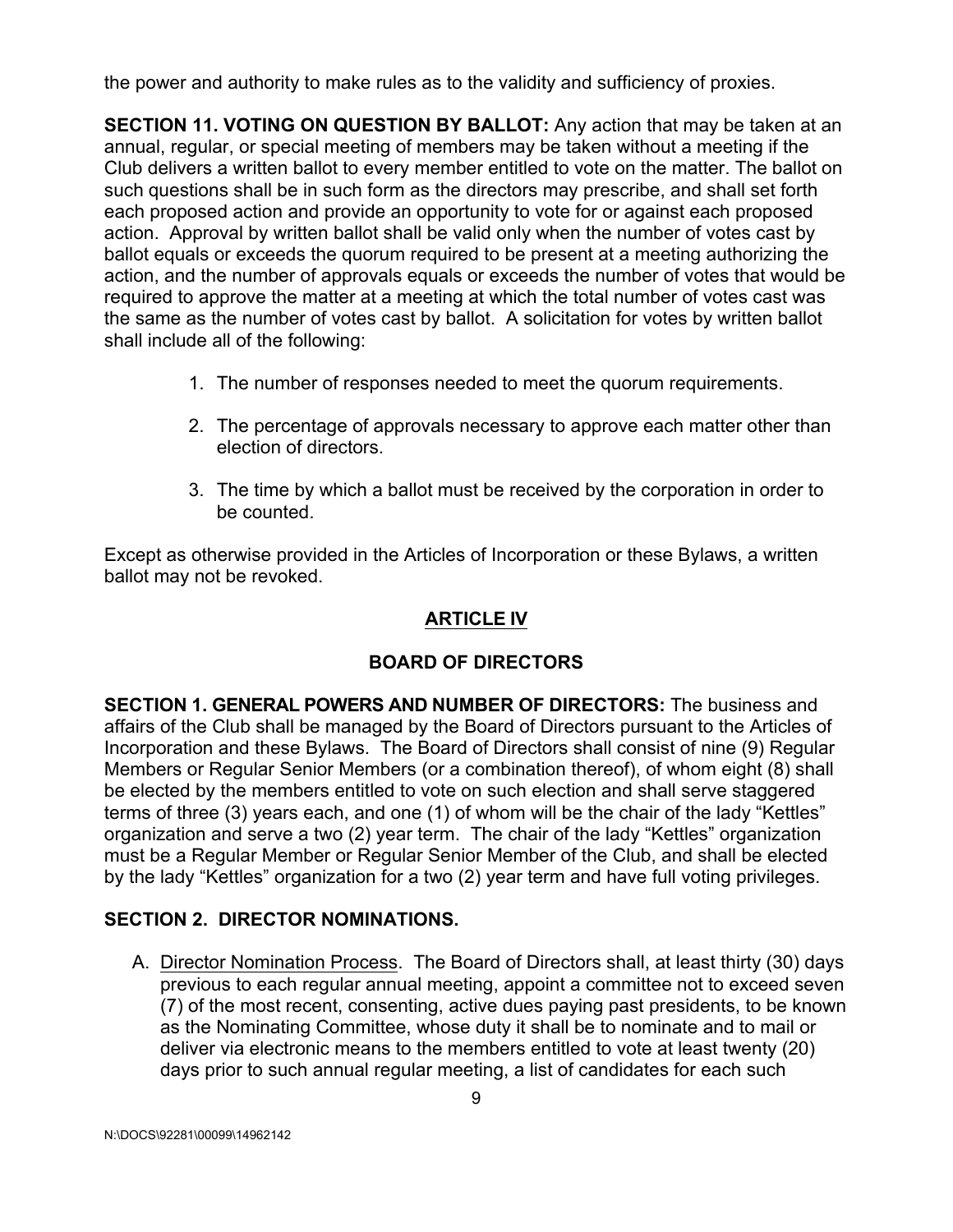the power and authority to make rules as to the validity and sufficiency of proxies.

**SECTION 11. VOTING ON QUESTION BY BALLOT:** Any action that may be taken at an annual, regular, or special meeting of members may be taken without a meeting if the Club delivers a written ballot to every member entitled to vote on the matter. The ballot on such questions shall be in such form as the directors may prescribe, and shall set forth each proposed action and provide an opportunity to vote for or against each proposed action. Approval by written ballot shall be valid only when the number of votes cast by ballot equals or exceeds the quorum required to be present at a meeting authorizing the action, and the number of approvals equals or exceeds the number of votes that would be required to approve the matter at a meeting at which the total number of votes cast was the same as the number of votes cast by ballot. A solicitation for votes by written ballot shall include all of the following:

- 1. The number of responses needed to meet the quorum requirements.
- 2. The percentage of approvals necessary to approve each matter other than election of directors.
- 3. The time by which a ballot must be received by the corporation in order to be counted.

Except as otherwise provided in the Articles of Incorporation or these Bylaws, a written ballot may not be revoked.

# **ARTICLE IV**

### **BOARD OF DIRECTORS**

**SECTION 1. GENERAL POWERS AND NUMBER OF DIRECTORS:** The business and affairs of the Club shall be managed by the Board of Directors pursuant to the Articles of Incorporation and these Bylaws. The Board of Directors shall consist of nine (9) Regular Members or Regular Senior Members (or a combination thereof), of whom eight (8) shall be elected by the members entitled to vote on such election and shall serve staggered terms of three (3) years each, and one (1) of whom will be the chair of the lady "Kettles" organization and serve a two (2) year term. The chair of the lady "Kettles" organization must be a Regular Member or Regular Senior Member of the Club, and shall be elected by the lady "Kettles" organization for a two (2) year term and have full voting privileges.

### **SECTION 2. DIRECTOR NOMINATIONS.**

A. Director Nomination Process. The Board of Directors shall, at least thirty (30) days previous to each regular annual meeting, appoint a committee not to exceed seven (7) of the most recent, consenting, active dues paying past presidents, to be known as the Nominating Committee, whose duty it shall be to nominate and to mail or deliver via electronic means to the members entitled to vote at least twenty (20) days prior to such annual regular meeting, a list of candidates for each such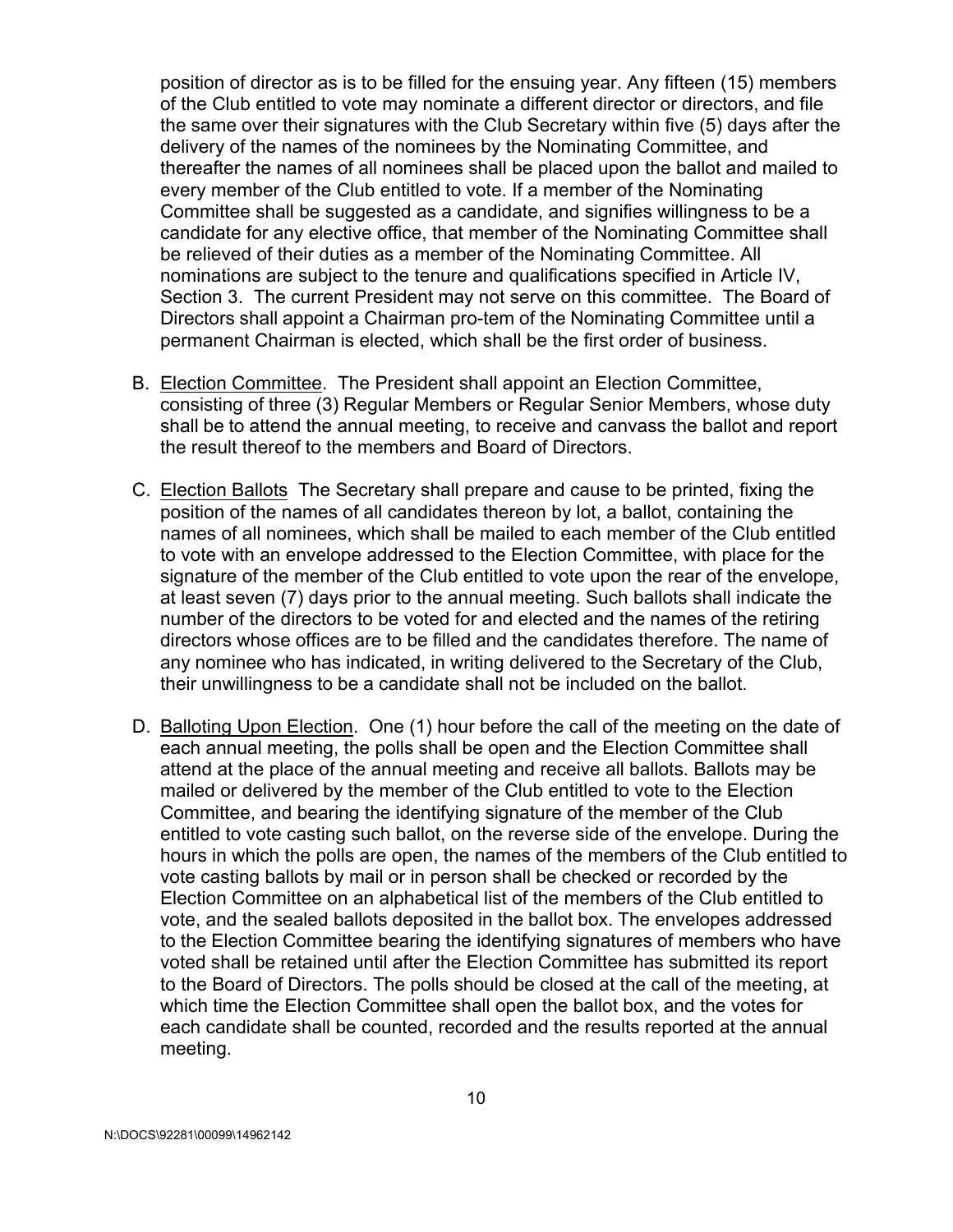position of director as is to be filled for the ensuing year. Any fifteen (15) members of the Club entitled to vote may nominate a different director or directors, and file the same over their signatures with the Club Secretary within five (5) days after the delivery of the names of the nominees by the Nominating Committee, and thereafter the names of all nominees shall be placed upon the ballot and mailed to every member of the Club entitled to vote. If a member of the Nominating Committee shall be suggested as a candidate, and signifies willingness to be a candidate for any elective office, that member of the Nominating Committee shall be relieved of their duties as a member of the Nominating Committee. All nominations are subject to the tenure and qualifications specified in Article IV, Section 3. The current President may not serve on this committee. The Board of Directors shall appoint a Chairman pro-tem of the Nominating Committee until a permanent Chairman is elected, which shall be the first order of business.

- B. Election Committee. The President shall appoint an Election Committee, consisting of three (3) Regular Members or Regular Senior Members, whose duty shall be to attend the annual meeting, to receive and canvass the ballot and report the result thereof to the members and Board of Directors.
- C. Election Ballots The Secretary shall prepare and cause to be printed, fixing the position of the names of all candidates thereon by lot, a ballot, containing the names of all nominees, which shall be mailed to each member of the Club entitled to vote with an envelope addressed to the Election Committee, with place for the signature of the member of the Club entitled to vote upon the rear of the envelope, at least seven (7) days prior to the annual meeting. Such ballots shall indicate the number of the directors to be voted for and elected and the names of the retiring directors whose offices are to be filled and the candidates therefore. The name of any nominee who has indicated, in writing delivered to the Secretary of the Club, their unwillingness to be a candidate shall not be included on the ballot.
- D. Balloting Upon Election. One (1) hour before the call of the meeting on the date of each annual meeting, the polls shall be open and the Election Committee shall attend at the place of the annual meeting and receive all ballots. Ballots may be mailed or delivered by the member of the Club entitled to vote to the Election Committee, and bearing the identifying signature of the member of the Club entitled to vote casting such ballot, on the reverse side of the envelope. During the hours in which the polls are open, the names of the members of the Club entitled to vote casting ballots by mail or in person shall be checked or recorded by the Election Committee on an alphabetical list of the members of the Club entitled to vote, and the sealed ballots deposited in the ballot box. The envelopes addressed to the Election Committee bearing the identifying signatures of members who have voted shall be retained until after the Election Committee has submitted its report to the Board of Directors. The polls should be closed at the call of the meeting, at which time the Election Committee shall open the ballot box, and the votes for each candidate shall be counted, recorded and the results reported at the annual meeting.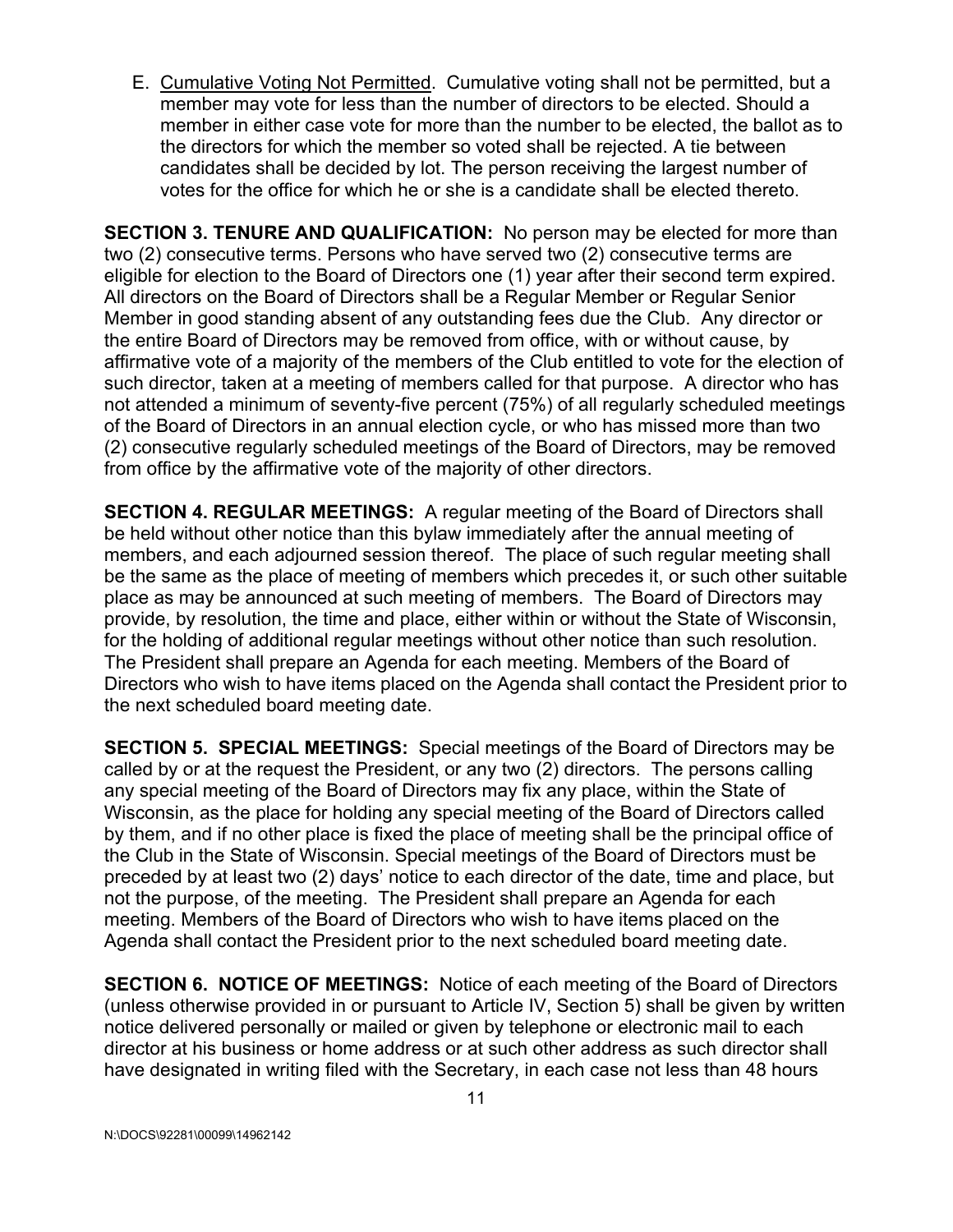E. Cumulative Voting Not Permitted. Cumulative voting shall not be permitted, but a member may vote for less than the number of directors to be elected. Should a member in either case vote for more than the number to be elected, the ballot as to the directors for which the member so voted shall be rejected. A tie between candidates shall be decided by lot. The person receiving the largest number of votes for the office for which he or she is a candidate shall be elected thereto.

**SECTION 3. TENURE AND QUALIFICATION:** No person may be elected for more than two (2) consecutive terms. Persons who have served two (2) consecutive terms are eligible for election to the Board of Directors one (1) year after their second term expired. All directors on the Board of Directors shall be a Regular Member or Regular Senior Member in good standing absent of any outstanding fees due the Club. Any director or the entire Board of Directors may be removed from office, with or without cause, by affirmative vote of a majority of the members of the Club entitled to vote for the election of such director, taken at a meeting of members called for that purpose. A director who has not attended a minimum of seventy-five percent (75%) of all regularly scheduled meetings of the Board of Directors in an annual election cycle, or who has missed more than two (2) consecutive regularly scheduled meetings of the Board of Directors, may be removed from office by the affirmative vote of the majority of other directors.

**SECTION 4. REGULAR MEETINGS:** A regular meeting of the Board of Directors shall be held without other notice than this bylaw immediately after the annual meeting of members, and each adjourned session thereof. The place of such regular meeting shall be the same as the place of meeting of members which precedes it, or such other suitable place as may be announced at such meeting of members. The Board of Directors may provide, by resolution, the time and place, either within or without the State of Wisconsin, for the holding of additional regular meetings without other notice than such resolution. The President shall prepare an Agenda for each meeting. Members of the Board of Directors who wish to have items placed on the Agenda shall contact the President prior to the next scheduled board meeting date.

**SECTION 5. SPECIAL MEETINGS:** Special meetings of the Board of Directors may be called by or at the request the President, or any two (2) directors. The persons calling any special meeting of the Board of Directors may fix any place, within the State of Wisconsin, as the place for holding any special meeting of the Board of Directors called by them, and if no other place is fixed the place of meeting shall be the principal office of the Club in the State of Wisconsin. Special meetings of the Board of Directors must be preceded by at least two (2) days' notice to each director of the date, time and place, but not the purpose, of the meeting. The President shall prepare an Agenda for each meeting. Members of the Board of Directors who wish to have items placed on the Agenda shall contact the President prior to the next scheduled board meeting date.

**SECTION 6. NOTICE OF MEETINGS:** Notice of each meeting of the Board of Directors (unless otherwise provided in or pursuant to Article IV, Section 5) shall be given by written notice delivered personally or mailed or given by telephone or electronic mail to each director at his business or home address or at such other address as such director shall have designated in writing filed with the Secretary, in each case not less than 48 hours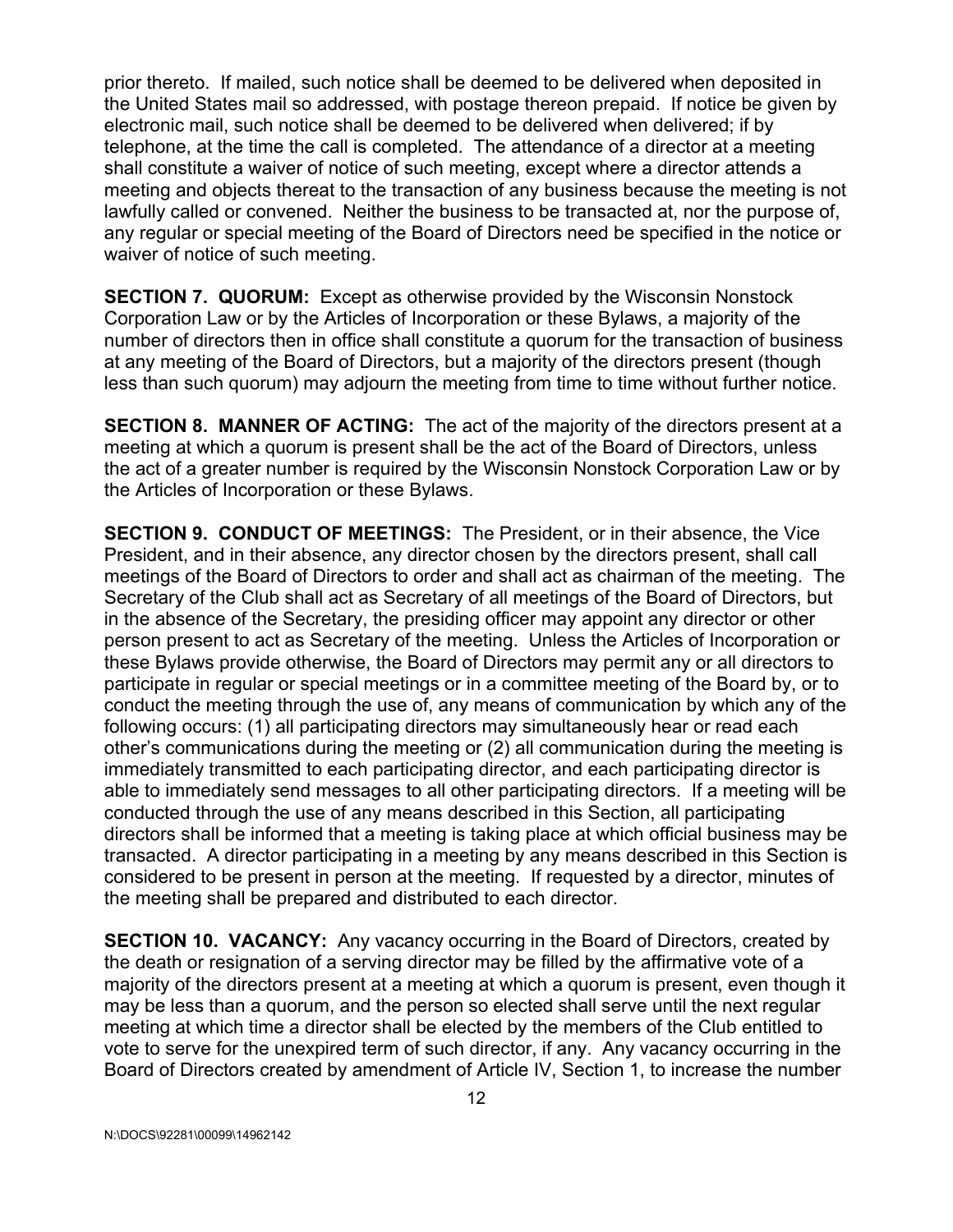prior thereto. If mailed, such notice shall be deemed to be delivered when deposited in the United States mail so addressed, with postage thereon prepaid. If notice be given by electronic mail, such notice shall be deemed to be delivered when delivered; if by telephone, at the time the call is completed. The attendance of a director at a meeting shall constitute a waiver of notice of such meeting, except where a director attends a meeting and objects thereat to the transaction of any business because the meeting is not lawfully called or convened. Neither the business to be transacted at, nor the purpose of, any regular or special meeting of the Board of Directors need be specified in the notice or waiver of notice of such meeting.

**SECTION 7. QUORUM:** Except as otherwise provided by the Wisconsin Nonstock Corporation Law or by the Articles of Incorporation or these Bylaws, a majority of the number of directors then in office shall constitute a quorum for the transaction of business at any meeting of the Board of Directors, but a majority of the directors present (though less than such quorum) may adjourn the meeting from time to time without further notice.

**SECTION 8. MANNER OF ACTING:** The act of the majority of the directors present at a meeting at which a quorum is present shall be the act of the Board of Directors, unless the act of a greater number is required by the Wisconsin Nonstock Corporation Law or by the Articles of Incorporation or these Bylaws.

**SECTION 9. CONDUCT OF MEETINGS:** The President, or in their absence, the Vice President, and in their absence, any director chosen by the directors present, shall call meetings of the Board of Directors to order and shall act as chairman of the meeting. The Secretary of the Club shall act as Secretary of all meetings of the Board of Directors, but in the absence of the Secretary, the presiding officer may appoint any director or other person present to act as Secretary of the meeting. Unless the Articles of Incorporation or these Bylaws provide otherwise, the Board of Directors may permit any or all directors to participate in regular or special meetings or in a committee meeting of the Board by, or to conduct the meeting through the use of, any means of communication by which any of the following occurs: (1) all participating directors may simultaneously hear or read each other's communications during the meeting or (2) all communication during the meeting is immediately transmitted to each participating director, and each participating director is able to immediately send messages to all other participating directors. If a meeting will be conducted through the use of any means described in this Section, all participating directors shall be informed that a meeting is taking place at which official business may be transacted. A director participating in a meeting by any means described in this Section is considered to be present in person at the meeting. If requested by a director, minutes of the meeting shall be prepared and distributed to each director.

**SECTION 10. VACANCY:** Any vacancy occurring in the Board of Directors, created by the death or resignation of a serving director may be filled by the affirmative vote of a majority of the directors present at a meeting at which a quorum is present, even though it may be less than a quorum, and the person so elected shall serve until the next regular meeting at which time a director shall be elected by the members of the Club entitled to vote to serve for the unexpired term of such director, if any. Any vacancy occurring in the Board of Directors created by amendment of Article IV, Section 1, to increase the number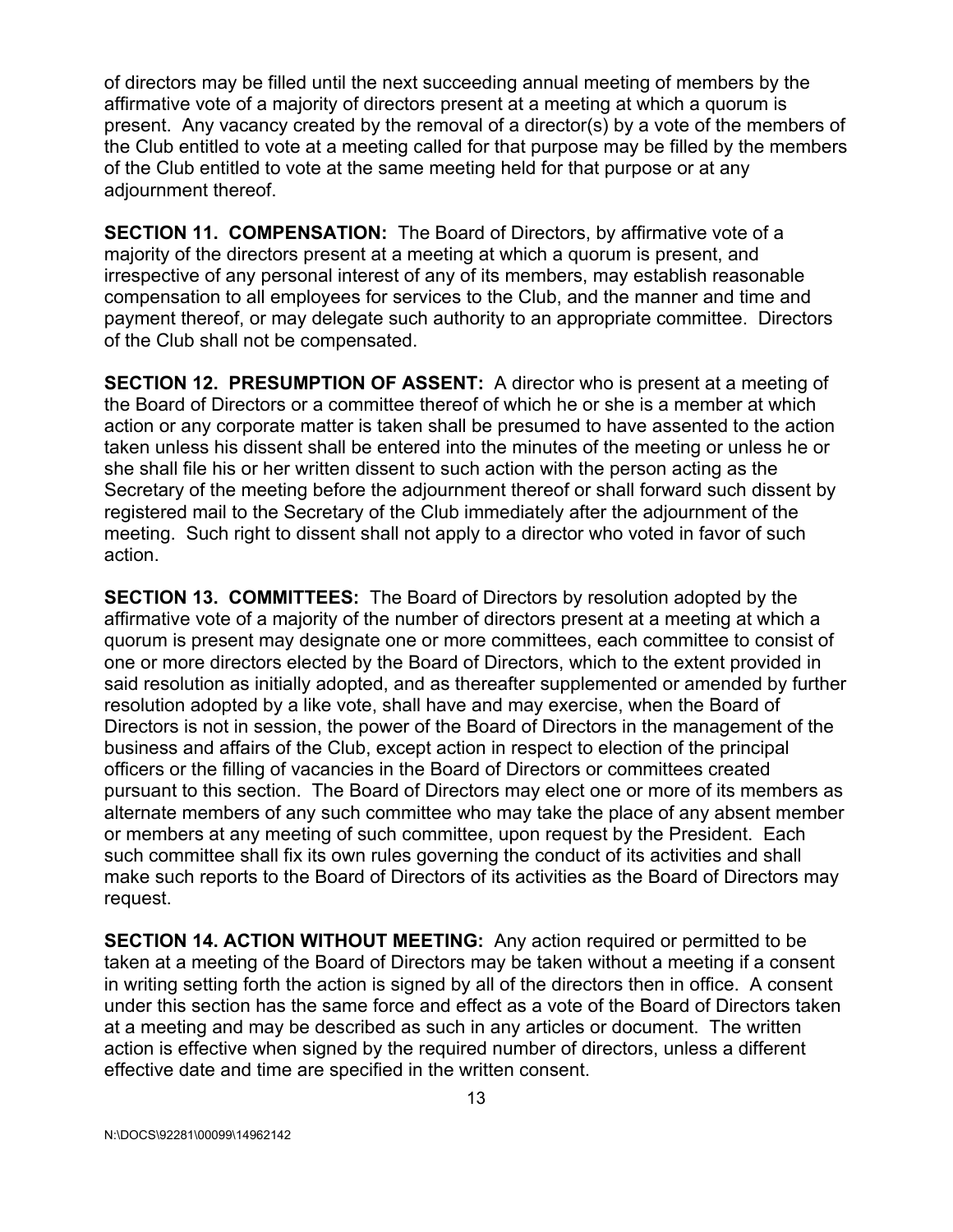of directors may be filled until the next succeeding annual meeting of members by the affirmative vote of a majority of directors present at a meeting at which a quorum is present. Any vacancy created by the removal of a director(s) by a vote of the members of the Club entitled to vote at a meeting called for that purpose may be filled by the members of the Club entitled to vote at the same meeting held for that purpose or at any adjournment thereof.

**SECTION 11. COMPENSATION:** The Board of Directors, by affirmative vote of a majority of the directors present at a meeting at which a quorum is present, and irrespective of any personal interest of any of its members, may establish reasonable compensation to all employees for services to the Club, and the manner and time and payment thereof, or may delegate such authority to an appropriate committee. Directors of the Club shall not be compensated.

**SECTION 12. PRESUMPTION OF ASSENT:** A director who is present at a meeting of the Board of Directors or a committee thereof of which he or she is a member at which action or any corporate matter is taken shall be presumed to have assented to the action taken unless his dissent shall be entered into the minutes of the meeting or unless he or she shall file his or her written dissent to such action with the person acting as the Secretary of the meeting before the adjournment thereof or shall forward such dissent by registered mail to the Secretary of the Club immediately after the adjournment of the meeting. Such right to dissent shall not apply to a director who voted in favor of such action.

**SECTION 13. COMMITTEES:** The Board of Directors by resolution adopted by the affirmative vote of a majority of the number of directors present at a meeting at which a quorum is present may designate one or more committees, each committee to consist of one or more directors elected by the Board of Directors, which to the extent provided in said resolution as initially adopted, and as thereafter supplemented or amended by further resolution adopted by a like vote, shall have and may exercise, when the Board of Directors is not in session, the power of the Board of Directors in the management of the business and affairs of the Club, except action in respect to election of the principal officers or the filling of vacancies in the Board of Directors or committees created pursuant to this section. The Board of Directors may elect one or more of its members as alternate members of any such committee who may take the place of any absent member or members at any meeting of such committee, upon request by the President. Each such committee shall fix its own rules governing the conduct of its activities and shall make such reports to the Board of Directors of its activities as the Board of Directors may request.

**SECTION 14. ACTION WITHOUT MEETING:** Any action required or permitted to be taken at a meeting of the Board of Directors may be taken without a meeting if a consent in writing setting forth the action is signed by all of the directors then in office. A consent under this section has the same force and effect as a vote of the Board of Directors taken at a meeting and may be described as such in any articles or document. The written action is effective when signed by the required number of directors, unless a different effective date and time are specified in the written consent.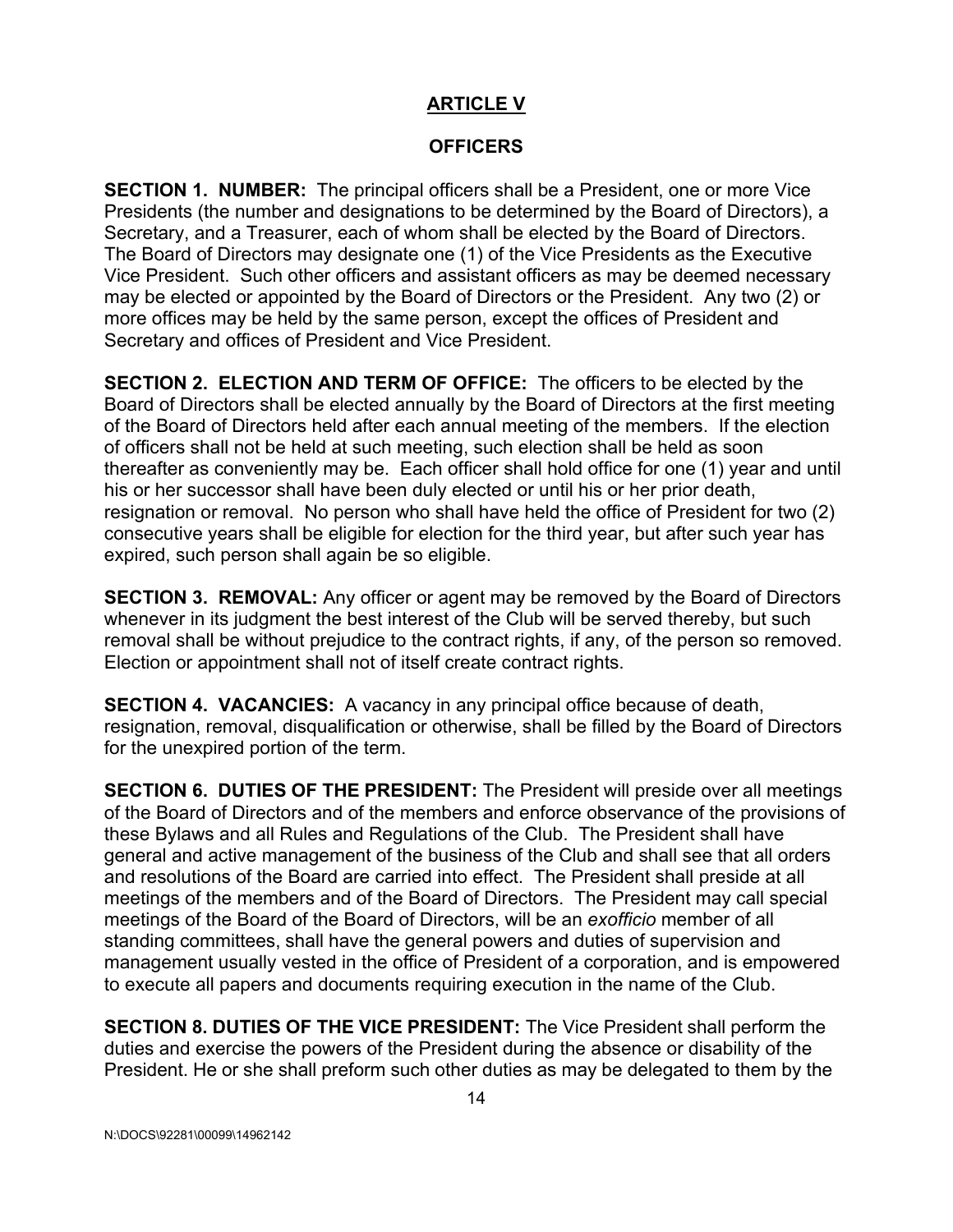### **ARTICLE V**

#### **OFFICERS**

**SECTION 1. NUMBER:** The principal officers shall be a President, one or more Vice Presidents (the number and designations to be determined by the Board of Directors), a Secretary, and a Treasurer, each of whom shall be elected by the Board of Directors. The Board of Directors may designate one (1) of the Vice Presidents as the Executive Vice President. Such other officers and assistant officers as may be deemed necessary may be elected or appointed by the Board of Directors or the President. Any two (2) or more offices may be held by the same person, except the offices of President and Secretary and offices of President and Vice President.

**SECTION 2. ELECTION AND TERM OF OFFICE:** The officers to be elected by the Board of Directors shall be elected annually by the Board of Directors at the first meeting of the Board of Directors held after each annual meeting of the members. If the election of officers shall not be held at such meeting, such election shall be held as soon thereafter as conveniently may be. Each officer shall hold office for one (1) year and until his or her successor shall have been duly elected or until his or her prior death, resignation or removal. No person who shall have held the office of President for two (2) consecutive years shall be eligible for election for the third year, but after such year has expired, such person shall again be so eligible.

**SECTION 3. REMOVAL:** Any officer or agent may be removed by the Board of Directors whenever in its judgment the best interest of the Club will be served thereby, but such removal shall be without prejudice to the contract rights, if any, of the person so removed. Election or appointment shall not of itself create contract rights.

**SECTION 4. VACANCIES:** A vacancy in any principal office because of death, resignation, removal, disqualification or otherwise, shall be filled by the Board of Directors for the unexpired portion of the term.

**SECTION 6. DUTIES OF THE PRESIDENT:**The President will preside over all meetings of the Board of Directors and of the members and enforce observance of the provisions of these Bylaws and all Rules and Regulations of the Club. The President shall have general and active management of the business of the Club and shall see that all orders and resolutions of the Board are carried into effect. The President shall preside at all meetings of the members and of the Board of Directors. The President may call special meetings of the Board of the Board of Directors, will be an *exofficio* member ofall standing committees, shall have the general powers and duties of supervision and management usually vested in the office of President of a corporation, and is empowered to execute all papers and documents requiring execution in the name of the Club.

**SECTION 8. DUTIES OF THE VICE PRESIDENT:** The Vice President shall perform the duties and exercise the powers of the President during the absence or disability of the President. He or she shall preform such other duties as may be delegated to them by the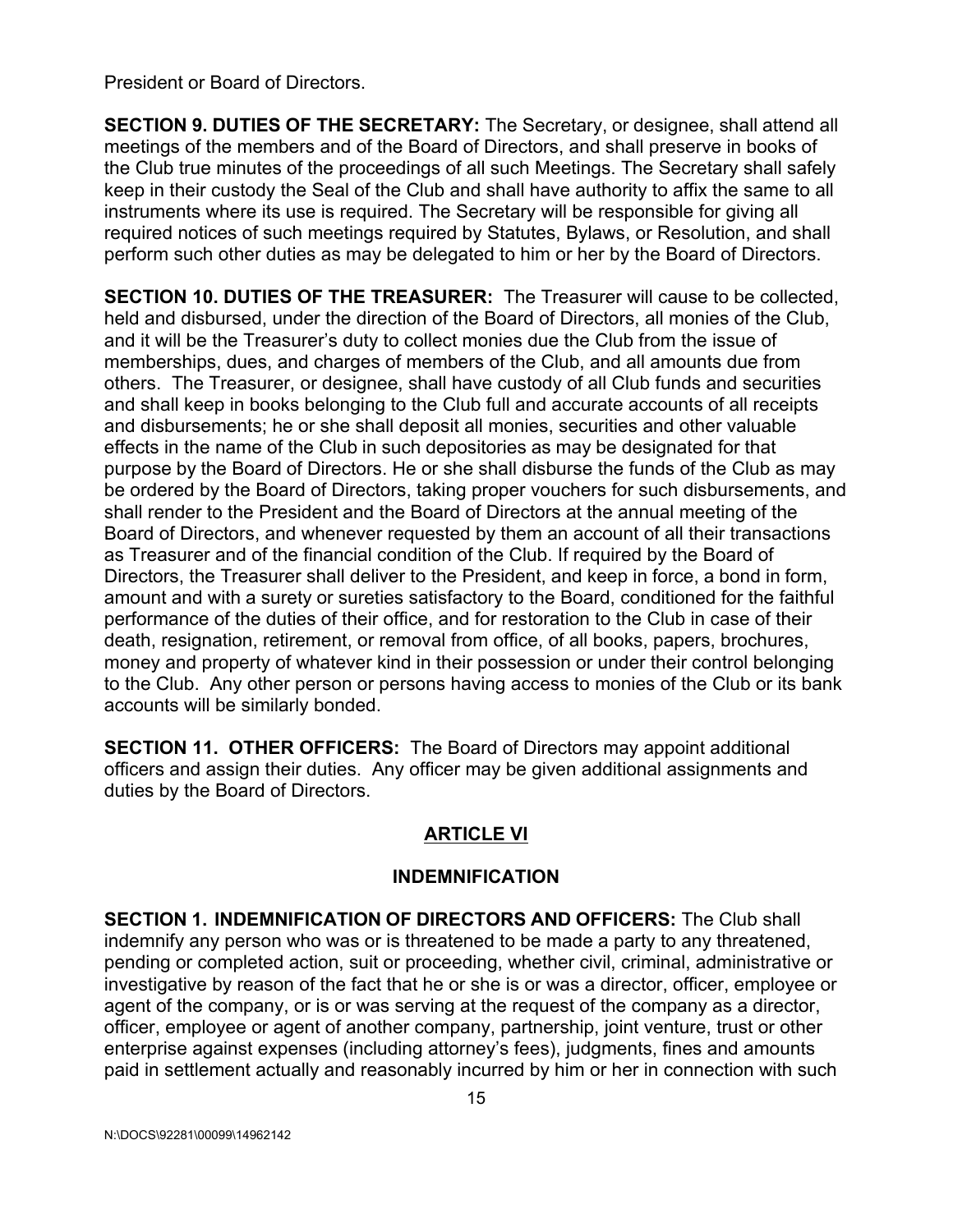President or Board of Directors.

**SECTION 9. DUTIES OF THE SECRETARY:** The Secretary, or designee, shall attend all meetings of the members and of the Board of Directors, and shall preserve in books of the Club true minutes of the proceedings of all such Meetings. The Secretary shall safely keep in their custody the Seal of the Club and shall have authority to affix the same to all instruments where its use is required. The Secretary will be responsible for giving all required notices of such meetings required by Statutes, Bylaws, or Resolution, and shall perform such other duties as may be delegated to him or her by the Board of Directors.

**SECTION 10. DUTIES OF THE TREASURER:** The Treasurer will cause to be collected, held and disbursed, under the direction of the Board of Directors, all monies of the Club, and it will be the Treasurer's duty to collect monies due the Club from the issue of memberships, dues, and charges of members of the Club, and all amounts due from others. The Treasurer, or designee, shall have custody of all Club funds and securities and shall keep in books belonging to the Club full and accurate accounts of all receipts and disbursements; he or she shall deposit all monies, securities and other valuable effects in the name of the Club in such depositories as may be designated for that purpose by the Board of Directors. He or she shall disburse the funds of the Club as may be ordered by the Board of Directors, taking proper vouchers for such disbursements, and shall render to the President and the Board of Directors at the annual meeting of the Board of Directors, and whenever requested by them an account of all their transactions as Treasurer and of the financial condition of the Club. If required by the Board of Directors, the Treasurer shall deliver to the President, and keep in force, a bond in form, amount and with a surety or sureties satisfactory to the Board, conditioned for the faithful performance of the duties of their office, and for restoration to the Club in case of their death, resignation, retirement, or removal from office, of all books, papers, brochures, money and property of whatever kind in their possession or under their control belonging to the Club. Any other person or persons having access to monies of the Club or its bank accounts will be similarly bonded.

**SECTION 11. OTHER OFFICERS:** The Board of Directors may appoint additional officers and assign their duties. Any officer may be given additional assignments and duties by the Board of Directors.

# **ARTICLE VI**

#### **INDEMNIFICATION**

**SECTION 1. INDEMNIFICATION OF DIRECTORS AND OFFICERS:** The Club shall indemnify any person who was or is threatened to be made a party to any threatened, pending or completed action, suit or proceeding, whether civil, criminal, administrative or investigative by reason of the fact that he or she is or was a director, officer, employee or agent of the company, or is or was serving at the request of the company as a director, officer, employee or agent of another company, partnership, joint venture, trust or other enterprise against expenses (including attorney's fees), judgments, fines and amounts paid in settlement actually and reasonably incurred by him or her in connection with such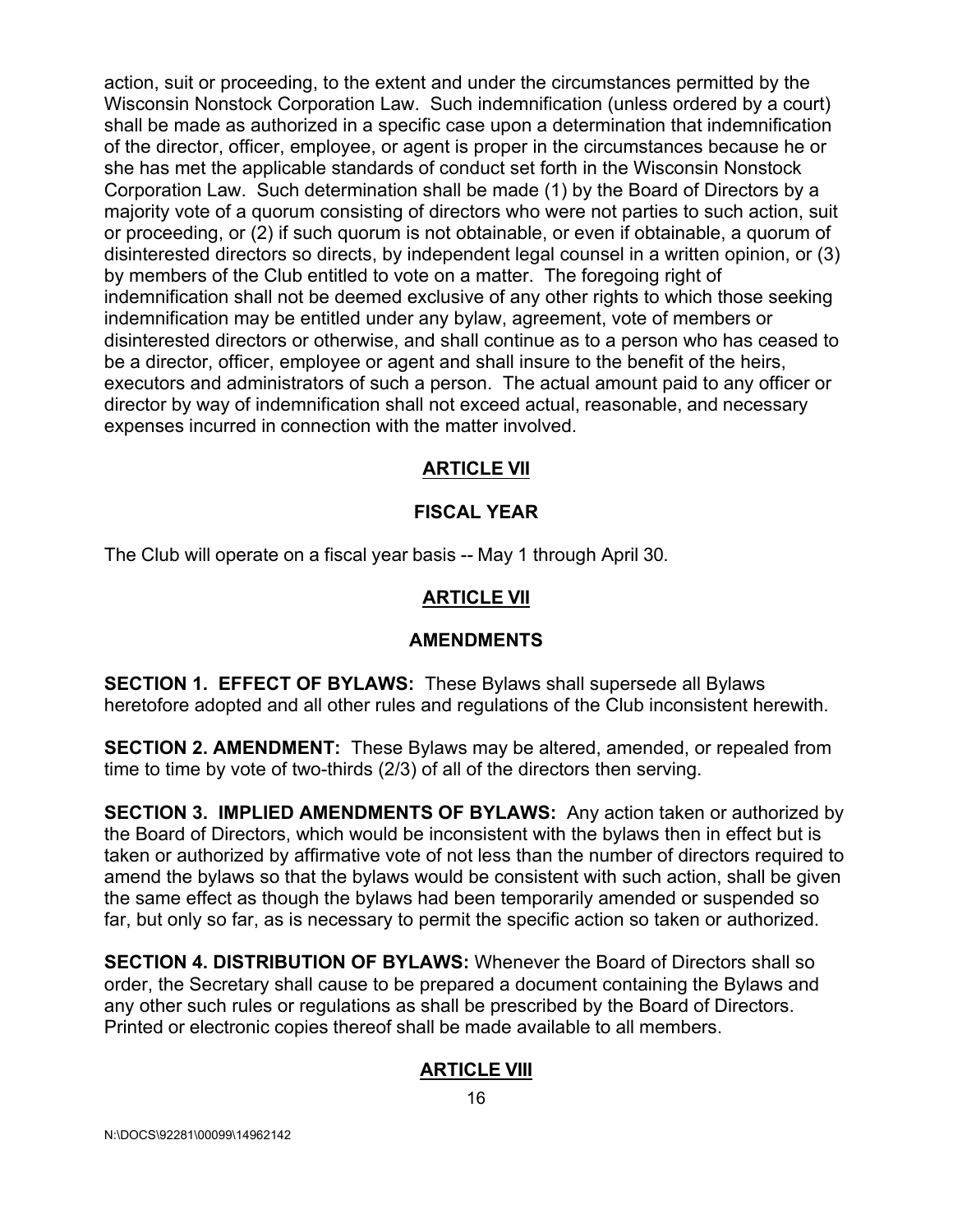action, suit or proceeding, to the extent and under the circumstances permitted by the Wisconsin Nonstock Corporation Law. Such indemnification (unless ordered by a court) shall be made as authorized in a specific case upon a determination that indemnification of the director, officer, employee, or agent is proper in the circumstances because he or she has met the applicable standards of conduct set forth in the Wisconsin Nonstock Corporation Law. Such determination shall be made (1) by the Board of Directors by a majority vote of a quorum consisting of directors who were not parties to such action, suit or proceeding, or (2) if such quorum is not obtainable, or even if obtainable, a quorum of disinterested directors so directs, by independent legal counsel in a written opinion, or (3) by members of the Club entitled to vote on a matter. The foregoing right of indemnification shall not be deemed exclusive of any other rights to which those seeking indemnification may be entitled under any bylaw, agreement, vote of members or disinterested directors or otherwise, and shall continue as to a person who has ceased to be a director, officer, employee or agent and shall insure to the benefit of the heirs, executors and administrators of such a person. The actual amount paid to any officer or director by way of indemnification shall not exceed actual, reasonable, and necessary expenses incurred in connection with the matter involved.

### **ARTICLE VII**

### **FISCAL YEAR**

The Club will operate on a fiscal year basis -- May 1 through April 30.

# **ARTICLE VII**

### **AMENDMENTS**

**SECTION 1. EFFECT OF BYLAWS:** These Bylaws shall supersede all Bylaws heretofore adopted and all other rules and regulations of the Club inconsistent herewith.

**SECTION 2. AMENDMENT:** These Bylaws may be altered, amended, or repealed from time to time by vote of two-thirds (2/3) of all of the directors then serving.

**SECTION 3. IMPLIED AMENDMENTS OF BYLAWS:** Any action taken or authorized by the Board of Directors, which would be inconsistent with the bylaws then in effect but is taken or authorized by affirmative vote of not less than the number of directors required to amend the bylaws so that the bylaws would be consistent with such action, shall be given the same effect as though the bylaws had been temporarily amended or suspended so far, but only so far, as is necessary to permit the specific action so taken or authorized.

**SECTION 4. DISTRIBUTION OF BYLAWS:** Whenever the Board of Directors shall so order, the Secretary shall cause to be prepared a document containing the Bylaws and any other such rules or regulations as shall be prescribed by the Board of Directors. Printed or electronic copies thereof shall be made available to all members.

### **ARTICLE VIII**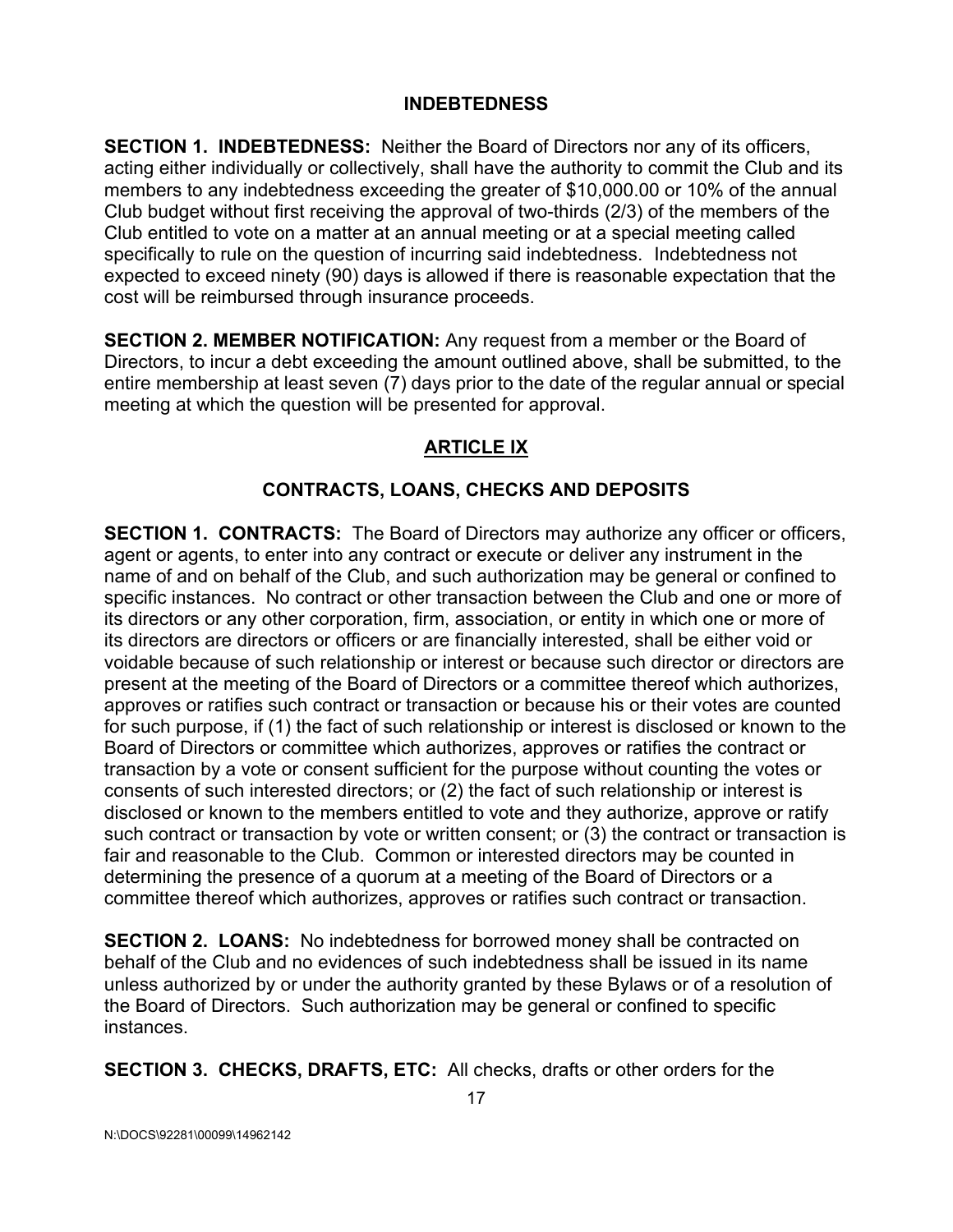#### **INDEBTEDNESS**

**SECTION 1. INDEBTEDNESS:** Neither the Board of Directors nor any of its officers, acting either individually or collectively, shall have the authority to commit the Club and its members to any indebtedness exceeding the greater of \$10,000.00 or 10% of the annual Club budget without first receiving the approval of two-thirds (2/3) of the members of the Club entitled to vote on a matter at an annual meeting or at a special meeting called specifically to rule on the question of incurring said indebtedness. Indebtedness not expected to exceed ninety (90) days is allowed if there is reasonable expectation that the cost will be reimbursed through insurance proceeds.

**SECTION 2. MEMBER NOTIFICATION:** Any request from a member or the Board of Directors, to incur a debt exceeding the amount outlined above, shall be submitted, to the entire membership at least seven (7) days prior to the date of the regular annual or special meeting at which the question will be presented for approval.

# **ARTICLE IX**

# **CONTRACTS, LOANS, CHECKS AND DEPOSITS**

**SECTION 1. CONTRACTS:** The Board of Directors may authorize any officer or officers, agent or agents, to enter into any contract or execute or deliver any instrument in the name of and on behalf of the Club, and such authorization may be general or confined to specific instances. No contract or other transaction between the Club and one or more of its directors or any other corporation, firm, association, or entity in which one or more of its directors are directors or officers or are financially interested, shall be either void or voidable because of such relationship or interest or because such director or directors are present at the meeting of the Board of Directors or a committee thereof which authorizes, approves or ratifies such contract or transaction or because his or their votes are counted for such purpose, if (1) the fact of such relationship or interest is disclosed or known to the Board of Directors or committee which authorizes, approves or ratifies the contract or transaction by a vote or consent sufficient for the purpose without counting the votes or consents of such interested directors; or (2) the fact of such relationship or interest is disclosed or known to the members entitled to vote and they authorize, approve or ratify such contract or transaction by vote or written consent; or (3) the contract or transaction is fair and reasonable to the Club. Common or interested directors may be counted in determining the presence of a quorum at a meeting of the Board of Directors or a committee thereof which authorizes, approves or ratifies such contract or transaction.

**SECTION 2. LOANS:** No indebtedness for borrowed money shall be contracted on behalf of the Club and no evidences of such indebtedness shall be issued in its name unless authorized by or under the authority granted by these Bylaws or of a resolution of the Board of Directors. Such authorization may be general or confined to specific instances.

**SECTION 3. CHECKS, DRAFTS, ETC:** All checks, drafts or other orders for the